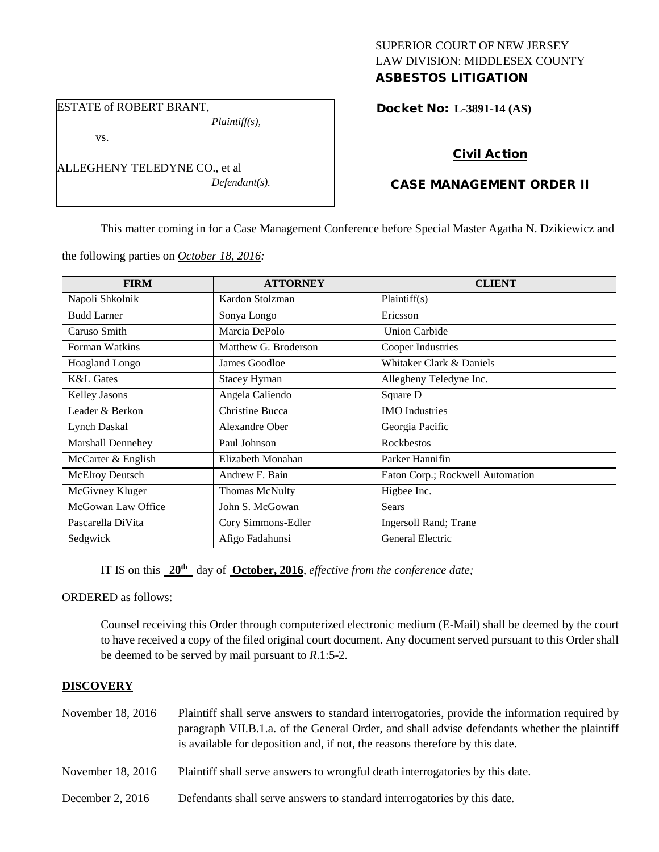# SUPERIOR COURT OF NEW JERSEY LAW DIVISION: MIDDLESEX COUNTY ASBESTOS LITIGATION

# ESTATE of ROBERT BRANT,

*Plaintiff(s),*

vs.

ALLEGHENY TELEDYNE CO., et al *Defendant(s).*

# Docket No: **L-3891-14 (AS)**

# Civil Action

# CASE MANAGEMENT ORDER II

This matter coming in for a Case Management Conference before Special Master Agatha N. Dzikiewicz and

the following parties on *October 18, 2016:*

| <b>FIRM</b>              | <b>ATTORNEY</b>       | <b>CLIENT</b>                    |
|--------------------------|-----------------------|----------------------------------|
| Napoli Shkolnik          | Kardon Stolzman       | Plaintiff(s)                     |
| <b>Budd Larner</b>       | Sonya Longo           | Ericsson                         |
| Caruso Smith             | Marcia DePolo         | <b>Union Carbide</b>             |
| Forman Watkins           | Matthew G. Broderson  | Cooper Industries                |
| <b>Hoagland Longo</b>    | James Goodloe         | Whitaker Clark & Daniels         |
| <b>K&amp;L</b> Gates     | <b>Stacey Hyman</b>   | Allegheny Teledyne Inc.          |
| <b>Kelley Jasons</b>     | Angela Caliendo       | Square D                         |
| Leader & Berkon          | Christine Bucca       | <b>IMO</b> Industries            |
| <b>Lynch Daskal</b>      | Alexandre Ober        | Georgia Pacific                  |
| <b>Marshall Dennehey</b> | Paul Johnson          | <b>Rockbestos</b>                |
| McCarter & English       | Elizabeth Monahan     | Parker Hannifin                  |
| McElroy Deutsch          | Andrew F. Bain        | Eaton Corp.; Rockwell Automation |
| McGivney Kluger          | <b>Thomas McNulty</b> | Higbee Inc.                      |
| McGowan Law Office       | John S. McGowan       | <b>Sears</b>                     |
| Pascarella DiVita        | Cory Simmons-Edler    | <b>Ingersoll Rand</b> ; Trane    |
| Sedgwick                 | Afigo Fadahunsi       | General Electric                 |

IT IS on this **20th** day of **October, 2016**, *effective from the conference date;*

ORDERED as follows:

Counsel receiving this Order through computerized electronic medium (E-Mail) shall be deemed by the court to have received a copy of the filed original court document. Any document served pursuant to this Order shall be deemed to be served by mail pursuant to *R*.1:5-2.

# **DISCOVERY**

| November 18, 2016  | Plaintiff shall serve answers to standard interrogatories, provide the information required by<br>paragraph VII.B.1.a. of the General Order, and shall advise defendants whether the plaintiff<br>is available for deposition and, if not, the reasons therefore by this date. |
|--------------------|--------------------------------------------------------------------------------------------------------------------------------------------------------------------------------------------------------------------------------------------------------------------------------|
| November 18, 2016  | Plaintiff shall serve answers to wrongful death interrogatories by this date.                                                                                                                                                                                                  |
| December 2, $2016$ | Defendants shall serve answers to standard interrogatories by this date.                                                                                                                                                                                                       |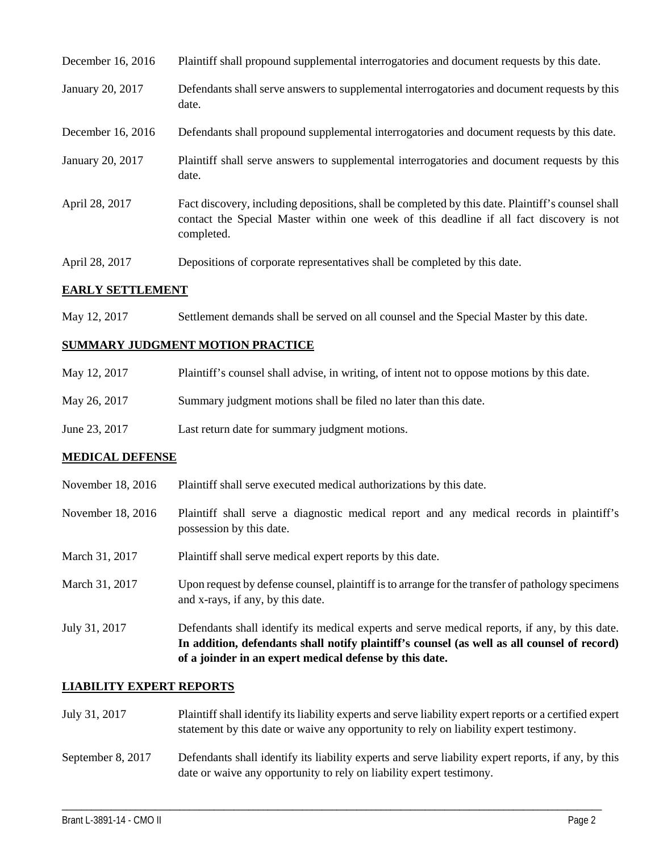| December 16, 2016 | Plaintiff shall propound supplemental interrogatories and document requests by this date.                                                                                                                   |
|-------------------|-------------------------------------------------------------------------------------------------------------------------------------------------------------------------------------------------------------|
| January 20, 2017  | Defendants shall serve answers to supplemental interrogatories and document requests by this<br>date.                                                                                                       |
| December 16, 2016 | Defendants shall propound supplemental interrogatories and document requests by this date.                                                                                                                  |
| January 20, 2017  | Plaintiff shall serve answers to supplemental interrogatories and document requests by this<br>date.                                                                                                        |
| April 28, 2017    | Fact discovery, including depositions, shall be completed by this date. Plaintiff's counsel shall<br>contact the Special Master within one week of this deadline if all fact discovery is not<br>completed. |
| April 28, 2017    | Depositions of corporate representatives shall be completed by this date.                                                                                                                                   |

# **EARLY SETTLEMENT**

May 12, 2017 Settlement demands shall be served on all counsel and the Special Master by this date.

## **SUMMARY JUDGMENT MOTION PRACTICE**

| May 12, 2017  | Plaintiff's counsel shall advise, in writing, of intent not to oppose motions by this date. |
|---------------|---------------------------------------------------------------------------------------------|
| May 26, 2017  | Summary judgment motions shall be filed no later than this date.                            |
| June 23, 2017 | Last return date for summary judgment motions.                                              |

### **MEDICAL DEFENSE**

- November 18, 2016 Plaintiff shall serve executed medical authorizations by this date.
- November 18, 2016 Plaintiff shall serve a diagnostic medical report and any medical records in plaintiff's possession by this date.
- March 31, 2017 Plaintiff shall serve medical expert reports by this date.
- March 31, 2017 Upon request by defense counsel, plaintiff is to arrange for the transfer of pathology specimens and x-rays, if any, by this date.
- July 31, 2017 Defendants shall identify its medical experts and serve medical reports, if any, by this date. **In addition, defendants shall notify plaintiff's counsel (as well as all counsel of record) of a joinder in an expert medical defense by this date.**

### **LIABILITY EXPERT REPORTS**

| July 31, 2017     | Plaintiff shall identify its liability experts and serve liability expert reports or a certified expert<br>statement by this date or waive any opportunity to rely on liability expert testimony. |
|-------------------|---------------------------------------------------------------------------------------------------------------------------------------------------------------------------------------------------|
| September 8, 2017 | Defendants shall identify its liability experts and serve liability expert reports, if any, by this<br>date or waive any opportunity to rely on liability expert testimony.                       |

\_\_\_\_\_\_\_\_\_\_\_\_\_\_\_\_\_\_\_\_\_\_\_\_\_\_\_\_\_\_\_\_\_\_\_\_\_\_\_\_\_\_\_\_\_\_\_\_\_\_\_\_\_\_\_\_\_\_\_\_\_\_\_\_\_\_\_\_\_\_\_\_\_\_\_\_\_\_\_\_\_\_\_\_\_\_\_\_\_\_\_\_\_\_\_\_\_\_\_\_\_\_\_\_\_\_\_\_\_\_